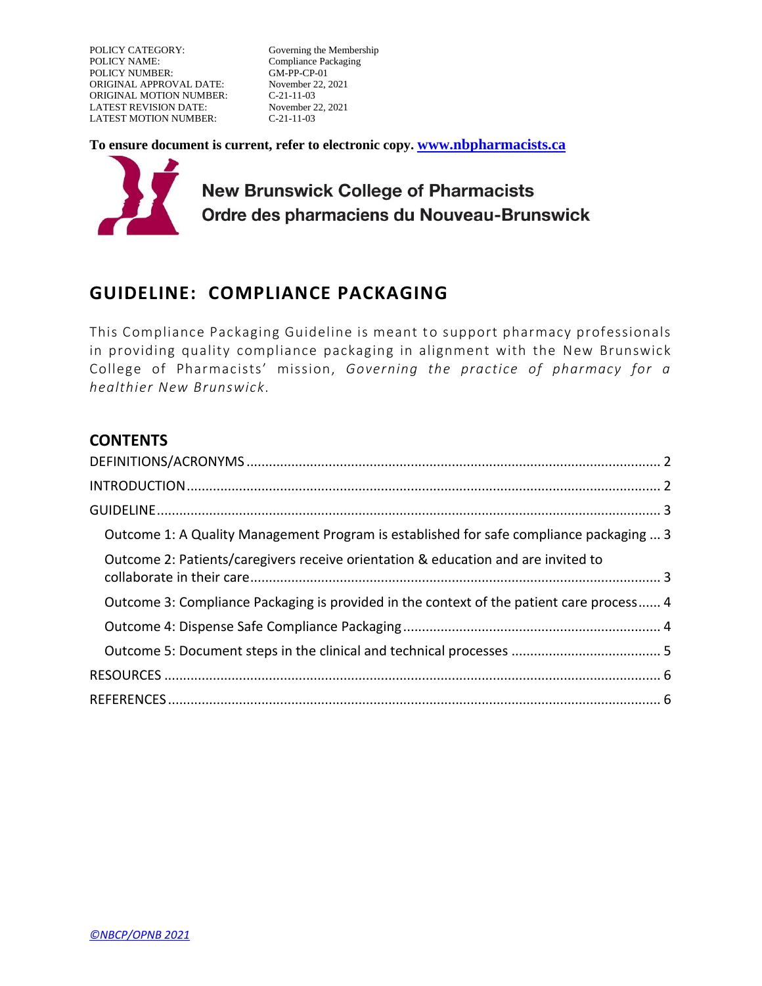POLICY CATEGORY: Governing the Membership<br>
POLICY NAME: Compliance Packaging POLICY NUMBER: ORIGINAL APPROVAL DATE: November 22, 2021<br>ORIGINAL MOTION NUMBER: C-21-11-03 ORIGINAL MOTION NUMBER: LATEST REVISION DATE: November 22, 2021 LATEST MOTION NUMBER: C-21-11-03

Compliance Packaging<br>GM-PP-CP-01

**To ensure document is current, refer to electronic copy. [www.nbpharmacists.ca](http://www.nbpharmacists.ca/)**



# **GUIDELINE: COMPLIANCE PACKAGING**

This Compliance Packaging Guideline is meant to support pharmacy professionals in providing quality compliance packaging in alignment with the New Brunswick College of Pharmacists' mission, *Governing the practice of pharmacy for a healthier New Brunswick.*

### **CONTENTS**

| Outcome 1: A Quality Management Program is established for safe compliance packaging  3  |  |
|------------------------------------------------------------------------------------------|--|
| Outcome 2: Patients/caregivers receive orientation & education and are invited to        |  |
| Outcome 3: Compliance Packaging is provided in the context of the patient care process 4 |  |
|                                                                                          |  |
|                                                                                          |  |
|                                                                                          |  |
|                                                                                          |  |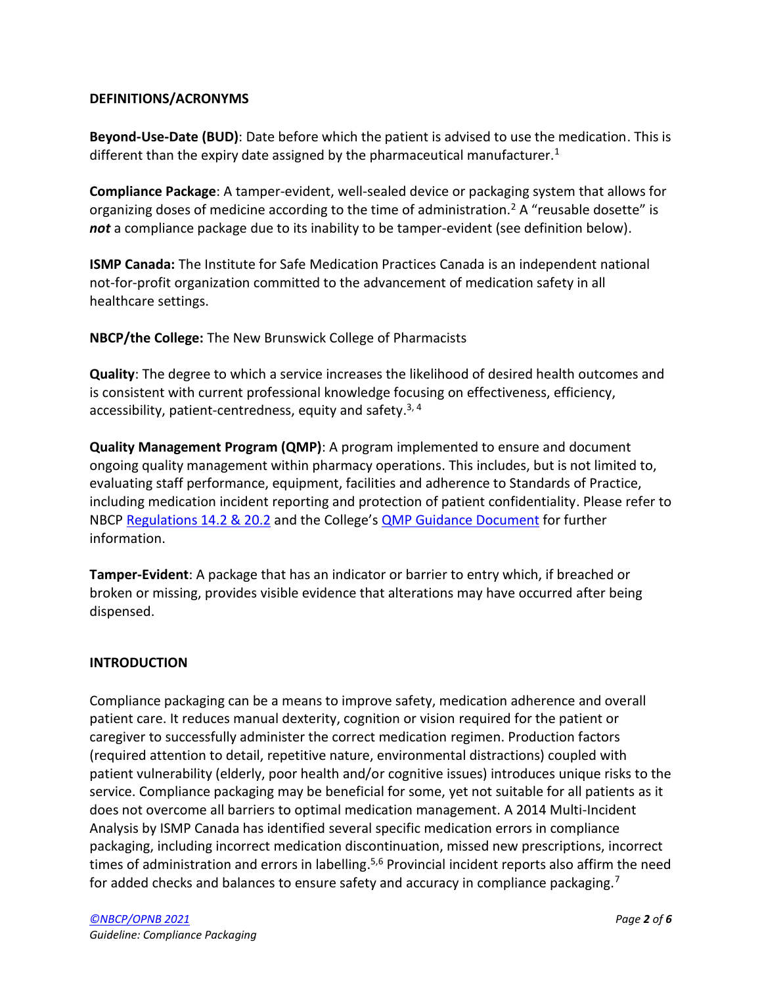### <span id="page-1-0"></span>**DEFINITIONS/ACRONYMS**

**Beyond-Use-Date (BUD)**: Date before which the patient is advised to use the medication. This is different than the expiry date assigned by the pharmaceutical manufacturer.<sup>1</sup>

**Compliance Package**: A tamper-evident, well-sealed device or packaging system that allows for organizing doses of medicine according to the time of administration.<sup>2</sup> A "reusable dosette" is *not* a compliance package due to its inability to be tamper-evident (see definition below).

**ISMP Canada:** The Institute for Safe Medication Practices Canada is an independent national not-for-profit organization committed to the advancement of medication safety in all healthcare settings.

**NBCP/the College:** The New Brunswick College of Pharmacists

**Quality**: The degree to which a service increases the likelihood of desired health outcomes and is consistent with current professional knowledge focusing on effectiveness, efficiency, accessibility, patient-centredness, equity and safety.<sup>3, 4</sup>

**Quality Management Program (QMP)**: A program implemented to ensure and document ongoing quality management within pharmacy operations. This includes, but is not limited to, evaluating staff performance, equipment, facilities and adherence to Standards of Practice, including medication incident reporting and protection of patient confidentiality. Please refer to NBCP [Regulations 14.2 & 20.2](https://nbcp.in1touch.org/document/1733/2015%2005%2028%20REGS%20bilingual.pdf) and the College's **[QMP Guidance Document](https://nbcp.in1touch.org/document/3527/Quality%20Management%20Program%20Comm_edited%20for%20web%20Sept2017%20EN.pdf)** for further information.

**Tamper-Evident**: A package that has an indicator or barrier to entry which, if breached or broken or missing, provides visible evidence that alterations may have occurred after being dispensed.

### <span id="page-1-1"></span>**INTRODUCTION**

Compliance packaging can be a means to improve safety, medication adherence and overall patient care. It reduces manual dexterity, cognition or vision required for the patient or caregiver to successfully administer the correct medication regimen. Production factors (required attention to detail, repetitive nature, environmental distractions) coupled with patient vulnerability (elderly, poor health and/or cognitive issues) introduces unique risks to the service. Compliance packaging may be beneficial for some, yet not suitable for all patients as it does not overcome all barriers to optimal medication management. A 2014 Multi-Incident Analysis by ISMP Canada has identified several specific medication errors in compliance packaging, including incorrect medication discontinuation, missed new prescriptions, incorrect times of administration and errors in labelling.<sup>5,6</sup> Provincial incident reports also affirm the need for added checks and balances to ensure safety and accuracy in compliance packaging.<sup>7</sup>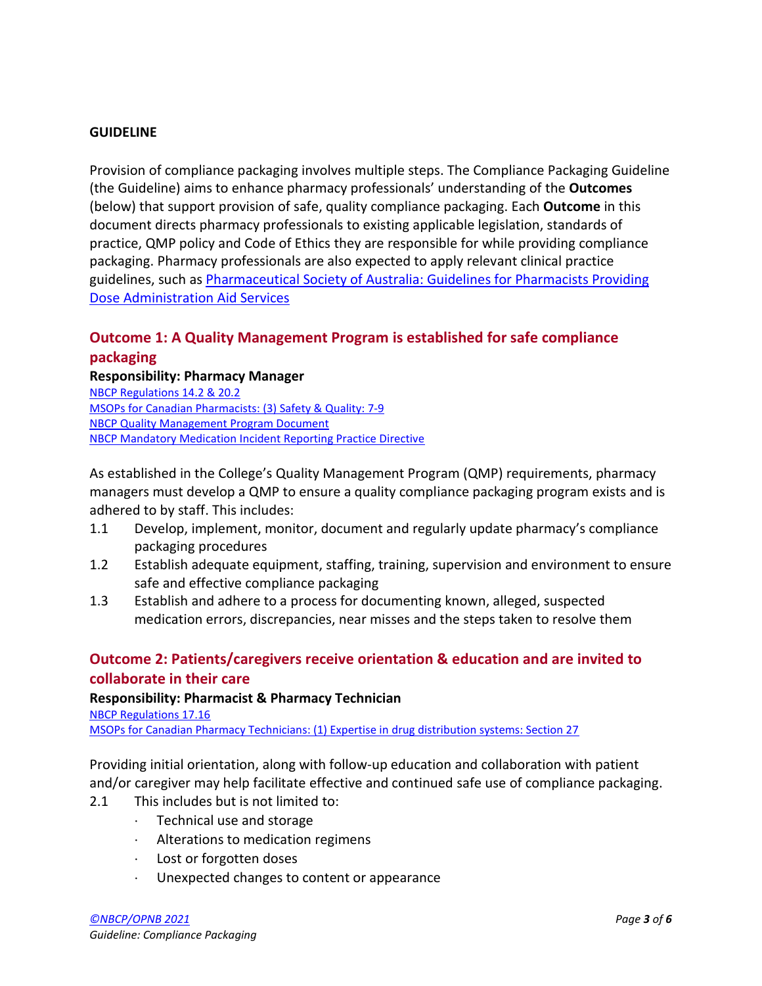### <span id="page-2-0"></span>**GUIDELINE**

Provision of compliance packaging involves multiple steps. The Compliance Packaging Guideline (the Guideline) aims to enhance pharmacy professionals' understanding of the **Outcomes** (below) that support provision of safe, quality compliance packaging. Each **Outcome** in this document directs pharmacy professionals to existing applicable legislation, standards of practice, QMP policy and Code of Ethics they are responsible for while providing compliance packaging. Pharmacy professionals are also expected to apply relevant clinical practice guidelines, such as Pharmaceutical Society of Australia: Guidelines for Pharmacists Providing [Dose Administration Aid Services](https://www.ppaonline.com.au/wp-content/uploads/2019/01/PSA-Dose-Admin-Aid-Guidelines.pdf)

# <span id="page-2-1"></span>**Outcome 1: A Quality Management Program is established for safe compliance packaging**

### **Responsibility: Pharmacy Manager**

[NBCP Regulations 14.2 & 20.2](https://nbcp.in1touch.org/document/1733/2015%2005%2028%20REGS%20bilingual.pdf) [MSOPs for Canadian Pharmacists: \(3\)](https://napra.ca/sites/default/files/2017-09/Model_Standards_of_Prac_for_Cdn_Pharm_March09_layout2017_Final.pdf#page=15) Safety & Quality: 7-9 [NBCP Quality Management Program Document](https://nbcp.in1touch.org/document/3527/Quality%20Management%20Program%20Comm_edited%20for%20web%20Sept2017%20EN.pdf) [NBCP Mandatory Medication Incident Reporting Practice Directive](https://nbcp.in1touch.org/document/4253/GM-PP-04MandatoryMedicationIncidentReportingPracticeDirectiveSept24_2018EN.pd)

As established in the College's Quality Management Program (QMP) requirements, pharmacy managers must develop a QMP to ensure a quality compliance packaging program exists and is adhered to by staff. This includes:

- 1.1 Develop, implement, monitor, document and regularly update pharmacy's compliance packaging procedures
- 1.2 Establish adequate equipment, staffing, training, supervision and environment to ensure safe and effective compliance packaging
- 1.3 Establish and adhere to a process for documenting known, alleged, suspected medication errors, discrepancies, near misses and the steps taken to resolve them

### <span id="page-2-2"></span>**Outcome 2: Patients/caregivers receive orientation & education and are invited to collaborate in their care**

### **Responsibility: Pharmacist & Pharmacy Technician**

[NBCP Regulations 17.16](https://nbcp.in1touch.org/document/1733/2015%2005%2028%20REGS%20bilingual.pdf)

[MSOPs for Canadian Pharmacy Technicians: \(1\) Expertise in drug distribution systems: Section 27](https://napra.ca/sites/default/files/documents/Model_Standards_of_Practice_for_Canadian_Pharmacy_Technicians_FINAL-June2018.pdf)

Providing initial orientation, along with follow-up education and collaboration with patient and/or caregiver may help facilitate effective and continued safe use of compliance packaging.

- 2.1 This includes but is not limited to:
	- $\cdot$  Technical use and storage
	- Alterations to medication regimens
	- Lost or forgotten doses
	- Unexpected changes to content or appearance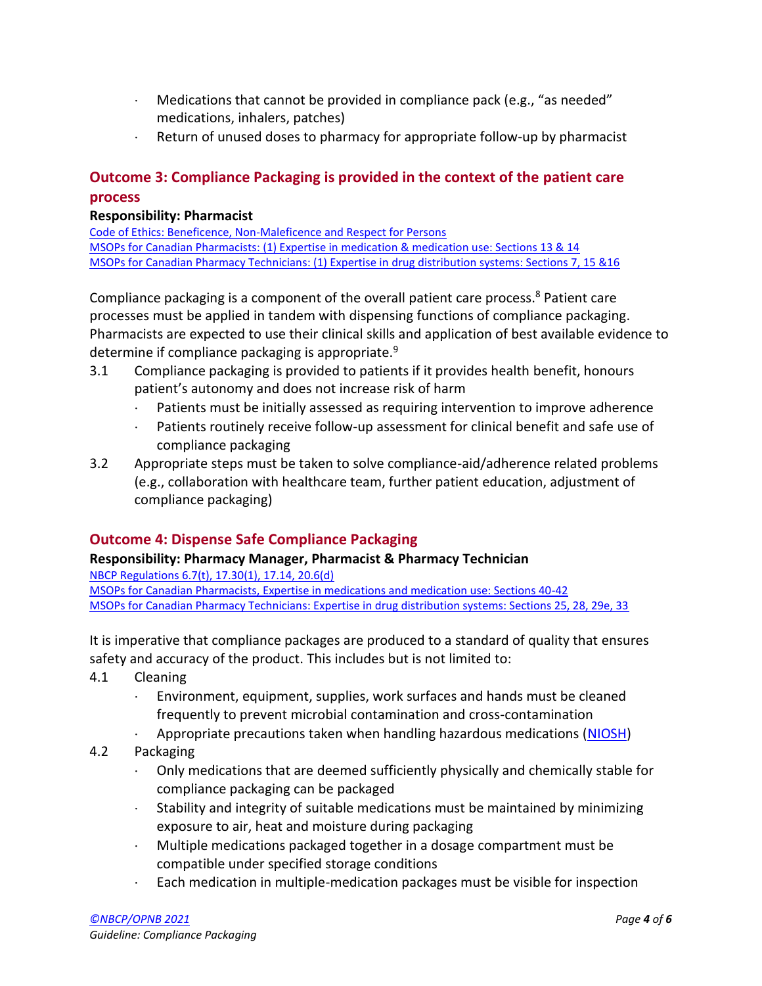- $\cdot$  Medications that cannot be provided in compliance pack (e.g., "as needed" medications, inhalers, patches)
- $\cdot$  Return of unused doses to pharmacy for appropriate follow-up by pharmacist

# <span id="page-3-0"></span>**Outcome 3: Compliance Packaging is provided in the context of the patient care process**

### **Responsibility: Pharmacist**

[Code of Ethics: Beneficence, Non-Maleficence and Respect for Persons](https://nbcp.in1touch.org/document/4025/NBCP%20COE%20English%20Online.pdf) [MSOPs for Canadian Pharmacists: \(1\) Expertise in medication & medication use: Sections 13 & 14](https://www.google.com/url?sa=t&rct=j&q=&esrc=s&source=web&cd=&cad=rja&uact=8&ved=2ahUKEwiv-rrZiMjzAhVNTjABHbnnAYcQFnoECAIQAQ&url=https%3A%2F%2Fnapra.ca%2Fpharmacy-technicians%2Fmodel-standards-practice-canadian-pharmacy-technicians&usg=AOvVaw37jr_MH3CP0iQEfwtunIyL) [MSOPs for Canadian Pharmacy Technicians: \(1\) Expertise in drug distribution systems: Sections 7, 15 &16](https://napra.ca/sites/default/files/documents/Model_Standards_of_Practice_for_Canadian_Pharmacy_Technicians_FINAL-June2018.pdf) 

Compliance packaging is a component of the overall patient care process.<sup>8</sup> Patient care processes must be applied in tandem with dispensing functions of compliance packaging. Pharmacists are expected to use their clinical skills and application of best available evidence to determine if compliance packaging is appropriate.<sup>9</sup>

- 3.1 Compliance packaging is provided to patients if it provides health benefit, honours patient's autonomy and does not increase risk of harm
	- Patients must be initially assessed as requiring intervention to improve adherence
	- Patients routinely receive follow-up assessment for clinical benefit and safe use of compliance packaging
- 3.2 Appropriate steps must be taken to solve compliance-aid/adherence related problems (e.g., collaboration with healthcare team, further patient education, adjustment of compliance packaging)

# <span id="page-3-1"></span>**Outcome 4: Dispense Safe Compliance Packaging**

### **Responsibility: Pharmacy Manager, Pharmacist & Pharmacy Technician**

[NBCP Regulations 6.7\(t\), 17.30\(1\), 17.14, 20.6\(d\)](https://nbcp.in1touch.org/document/1733/2015%2005%2028%20REGS%20bilingual.pdf) [MSOPs for Canadian Pharmacists, Expertise in medications and medication use: Sections 40-42](https://napra.ca/sites/default/files/2017-09/Model_Standards_of_Prac_for_Cdn_Pharm_March09_layout2017_Final.pdf) [MSOPs for Canadian Pharmacy Technicians: Expertise in drug distribution systems: Sections 25, 28, 29e, 33](https://napra.ca/sites/default/files/documents/Model_Standards_of_Practice_for_Canadian_Pharmacy_Technicians_FINAL-June2018.pdf)

It is imperative that compliance packages are produced to a standard of quality that ensures safety and accuracy of the product. This includes but is not limited to:

- 4.1 Cleaning
	- Environment, equipment, supplies, work surfaces and hands must be cleaned frequently to prevent microbial contamination and cross-contamination
	- Appropriate precautions taken when handling hazardous medications [\(NIOSH\)](https://www.cdc.gov/niosh/docs/2016-161/pdfs/2016-161.pdf)
- 4.2 Packaging
	- Only medications that are deemed sufficiently physically and chemically stable for compliance packaging can be packaged
	- $\cdot$  Stability and integrity of suitable medications must be maintained by minimizing exposure to air, heat and moisture during packaging
	- Multiple medications packaged together in a dosage compartment must be compatible under specified storage conditions
	- Each medication in multiple-medication packages must be visible for inspection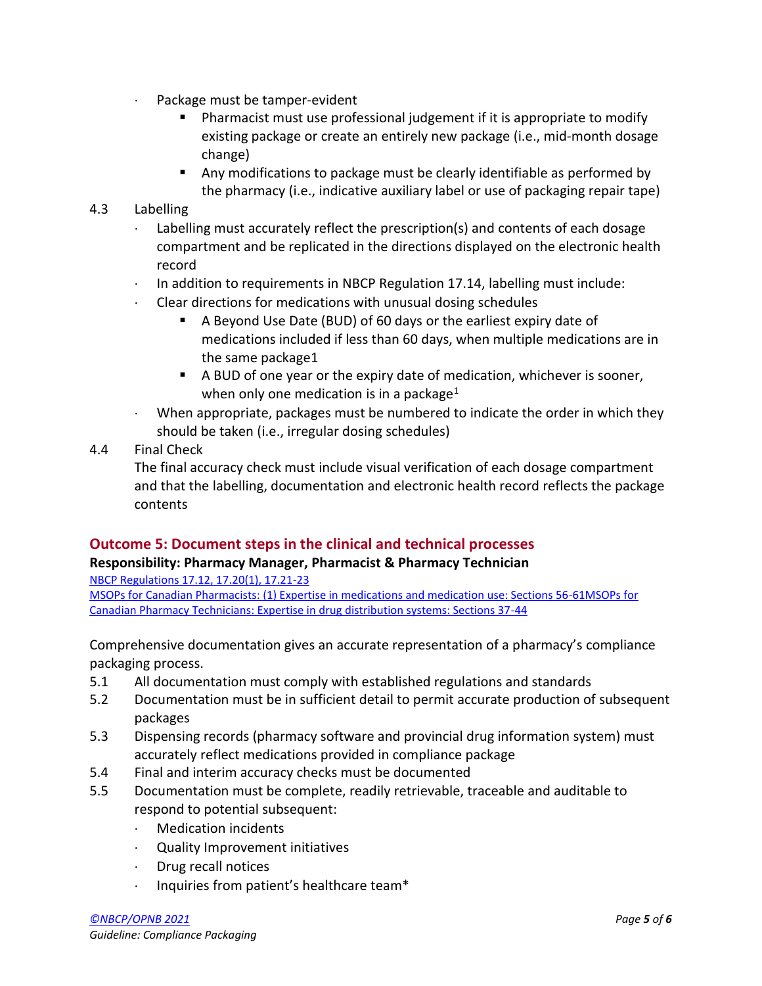- Package must be tamper-evident
	- Pharmacist must use professional judgement if it is appropriate to modify existing package or create an entirely new package (i.e., mid-month dosage change)
	- Any modifications to package must be clearly identifiable as performed by the pharmacy (i.e., indicative auxiliary label or use of packaging repair tape)

### 4.3 Labelling

- Labelling must accurately reflect the prescription(s) and contents of each dosage compartment and be replicated in the directions displayed on the electronic health record
- $\cdot$  In addition to requirements in NBCP Regulation 17.14, labelling must include:
- Clear directions for medications with unusual dosing schedules
	- A Beyond Use Date (BUD) of 60 days or the earliest expiry date of medications included if less than 60 days, when multiple medications are in the same package1
	- A BUD of one year or the expiry date of medication, whichever is sooner, when only one medication is in a package<sup>1</sup>
- When appropriate, packages must be numbered to indicate the order in which they should be taken (i.e., irregular dosing schedules)
- 4.4 Final Check

The final accuracy check must include visual verification of each dosage compartment and that the labelling, documentation and electronic health record reflects the package contents

# <span id="page-4-0"></span>**Outcome 5: Document steps in the clinical and technical processes**

### **Responsibility: Pharmacy Manager, Pharmacist & Pharmacy Technician**

[NBCP Regulations 17.12, 17.20\(1\), 17.21-23](https://nbcp.in1touch.org/document/1733/2015%2005%2028%20REGS%20bilingual.pdf)

[MSOPs for Canadian Pharmacists: \(1\) Expertise in medications and medication use: Sections 56-61](https://napra.ca/sites/default/files/2017-09/Model_Standards_of_Prac_for_Cdn_Pharm_March09_layout2017_Final.pdf)[MSOPs for](https://napra.ca/sites/default/files/documents/Model_Standards_of_Practice_for_Canadian_Pharmacy_Technicians_FINAL-June2018.pdf)  [Canadian Pharmacy Technicians: Expertise in drug distribution systems: Sections 37-44](https://napra.ca/sites/default/files/documents/Model_Standards_of_Practice_for_Canadian_Pharmacy_Technicians_FINAL-June2018.pdf)

Comprehensive documentation gives an accurate representation of a pharmacy's compliance packaging process.

- 5.1 All documentation must comply with established regulations and standards
- 5.2 Documentation must be in sufficient detail to permit accurate production of subsequent packages
- 5.3 Dispensing records (pharmacy software and provincial drug information system) must accurately reflect medications provided in compliance package
- 5.4 Final and interim accuracy checks must be documented
- 5.5 Documentation must be complete, readily retrievable, traceable and auditable to respond to potential subsequent:
	- Medication incidents
	- Quality Improvement initiatives
	- Drug recall notices
	- Inquiries from patient's healthcare team\*